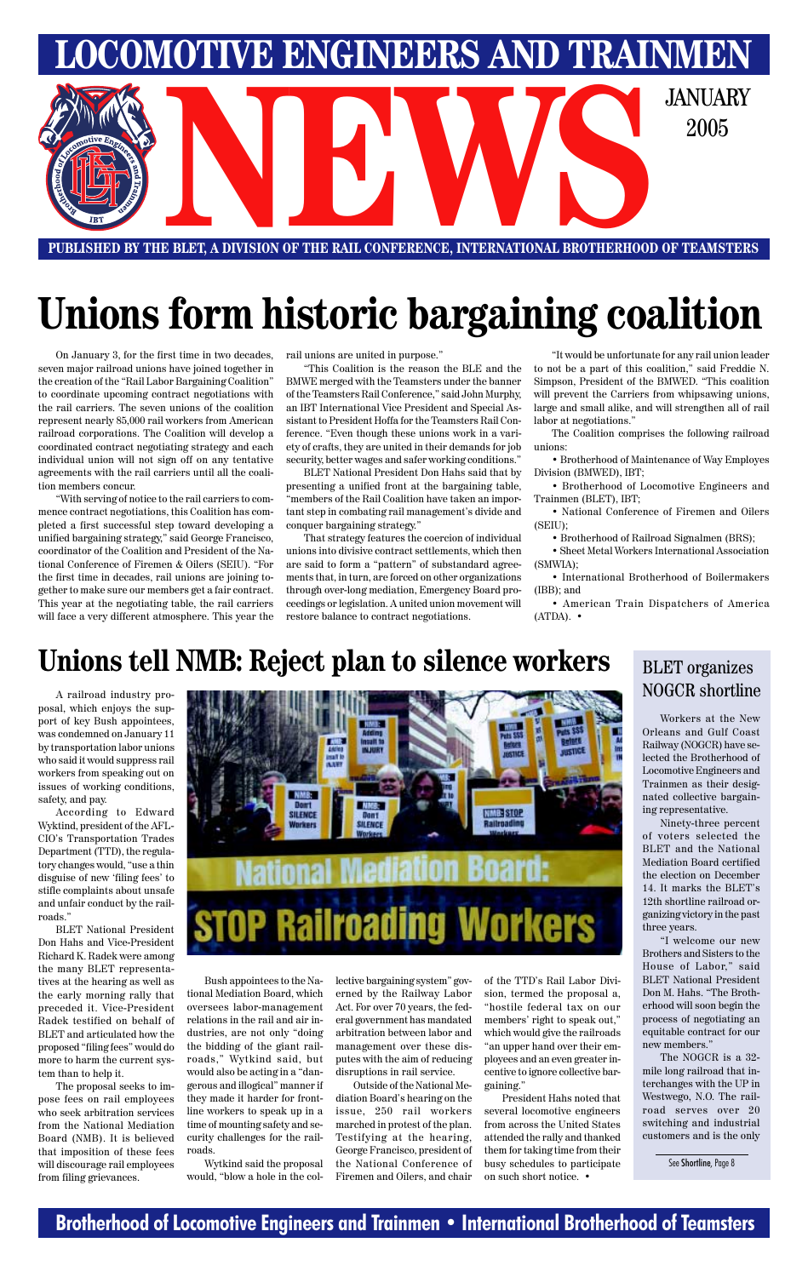#### **Brotherhood of Locomotive Engineers and Trainmen • International Brotherhood of Teamsters**



**PUBLISHED BY THE BLET, A DIVISION OF THE RAIL CONFERENCE, INTERNATIONAL BROTHERHOOD OF TEAMSTERS**

On January 3, for the first time in two decades, seven major railroad unions have joined together in the creation of the "Rail Labor Bargaining Coalition" to coordinate upcoming contract negotiations with the rail carriers. The seven unions of the coalition represent nearly 85,000 rail workers from American railroad corporations. The Coalition will develop a coordinated contract negotiating strategy and each individual union will not sign off on any tentative agreements with the rail carriers until all the coalition members concur.

"With serving of notice to the rail carriers to commence contract negotiations, this Coalition has completed a first successful step toward developing a unified bargaining strategy," said George Francisco, coordinator of the Coalition and President of the National Conference of Firemen & Oilers (SEIU). "For the first time in decades, rail unions are joining together to make sure our members get a fair contract. This year at the negotiating table, the rail carriers will face a very different atmosphere. This year the rail unions are united in purpose."

• American Train Dispatchers of America  $(ATDA)$ .  $\bullet$ 

"This Coalition is the reason the BLE and the BMWE merged with the Teamsters under the banner of the Teamsters Rail Conference," said John Murphy, an IBT International Vice President and Special Assistant to President Hoffa for the Teamsters Rail Conference. "Even though these unions work in a variety of crafts, they are united in their demands for job security, better wages and safer working conditions."

BLET National President Don Hahs said that by presenting a unified front at the bargaining table, "members of the Rail Coalition have taken an important step in combating rail management's divide and conquer bargaining strategy."

That strategy features the coercion of individual unions into divisive contract settlements, which then are said to form a "pattern" of substandard agreements that, in turn, are forced on other organizations through over-long mediation, Emergency Board proceedings or legislation. A united union movement will restore balance to contract negotiations.

"It would be unfortunate for any rail union leader to not be a part of this coalition," said Freddie N. Simpson, President of the BMWED. "This coalition will prevent the Carriers from whipsawing unions, large and small alike, and will strengthen all of rail labor at negotiations."

The Coalition comprises the following railroad unions:

• Brotherhood of Maintenance of Way Employes Division (BMWED), IBT;

• Brotherhood of Locomotive Engineers and Trainmen (BLET), IBT;

• National Conference of Firemen and Oilers (SEIU);

• Brotherhood of Railroad Signalmen (BRS);

• Sheet Metal Workers International Association (SMWIA);

• International Brotherhood of Boilermakers (IBB); and

# **Unions form historic bargaining coalition**

A railroad industry proposal, which enjoys the support of key Bush appointees, was condemned on January 11 by transportation labor unions who said it would suppress rail workers from speaking out on issues of working conditions, safety, and pay.

According to Edward Wyktind, president of the AFL-CIO's Transportation Trades Department (TTD), the regulatory changes would, "use a thin disguise of new 'filing fees' to stifle complaints about unsafe and unfair conduct by the railroads."

BLET National President



Don Hahs and Vice-President Richard K. Radek were among the many BLET representatives at the hearing as well as the early morning rally that preceded it. Vice-President Radek testified on behalf of BLET and articulated how the proposed "filing fees" would do more to harm the current system than to help it.

The proposal seeks to impose fees on rail employees who seek arbitration services from the National Mediation Board (NMB). It is believed that imposition of these fees will discourage rail employees from filing grievances.

Bush appointees to the National Mediation Board, which oversees labor-management relations in the rail and air industries, are not only "doing the bidding of the giant railroads," Wytkind said, but would also be acting in a "dangerous and illogical" manner if they made it harder for frontline workers to speak up in a time of mounting safety and security challenges for the railroads.

Wytkind said the proposal would, "blow a hole in the collective bargaining system" governed by the Railway Labor Act. For over 70 years, the federal government has mandated arbitration between labor and management over these disputes with the aim of reducing disruptions in rail service.

Outside of the National Mediation Board's hearing on the issue, 250 rail workers marched in protest of the plan. Testifying at the hearing, George Francisco, president of the National Conference of Firemen and Oilers, and chair

### **Unions tell NMB: Reject plan to silence workers**

of the TTD's Rail Labor Division, termed the proposal a, "hostile federal tax on our members' right to speak out," which would give the railroads "an upper hand over their employees and an even greater incentive to ignore collective bargaining."

President Hahs noted that several locomotive engineers from across the United States attended the rally and thanked them for taking time from their busy schedules to participate on such short notice. •

#### BLET organizes NOGCR shortline

Workers at the New Orleans and Gulf Coast Railway (NOGCR) have selected the Brotherhood of Locomotive Engineers and Trainmen as their designated collective bargaining representative.

Ninety-three percent of voters selected the BLET and the National Mediation Board certified the election on December 14. It marks the BLET's 12th shortline railroad organizing victory in the past three years. 'l welcome our new Brothers and Sisters to the House of Labor," said BLET National President Don M. Hahs. "The Brotherhood will soon begin the process of negotiating an equitable contract for our new members." The NOGCR is a 32 mile long railroad that interchanges with the UP in Westwego, N.O. The railroad serves over 20 switching and industrial customers and is the only

See Shortline, Page 8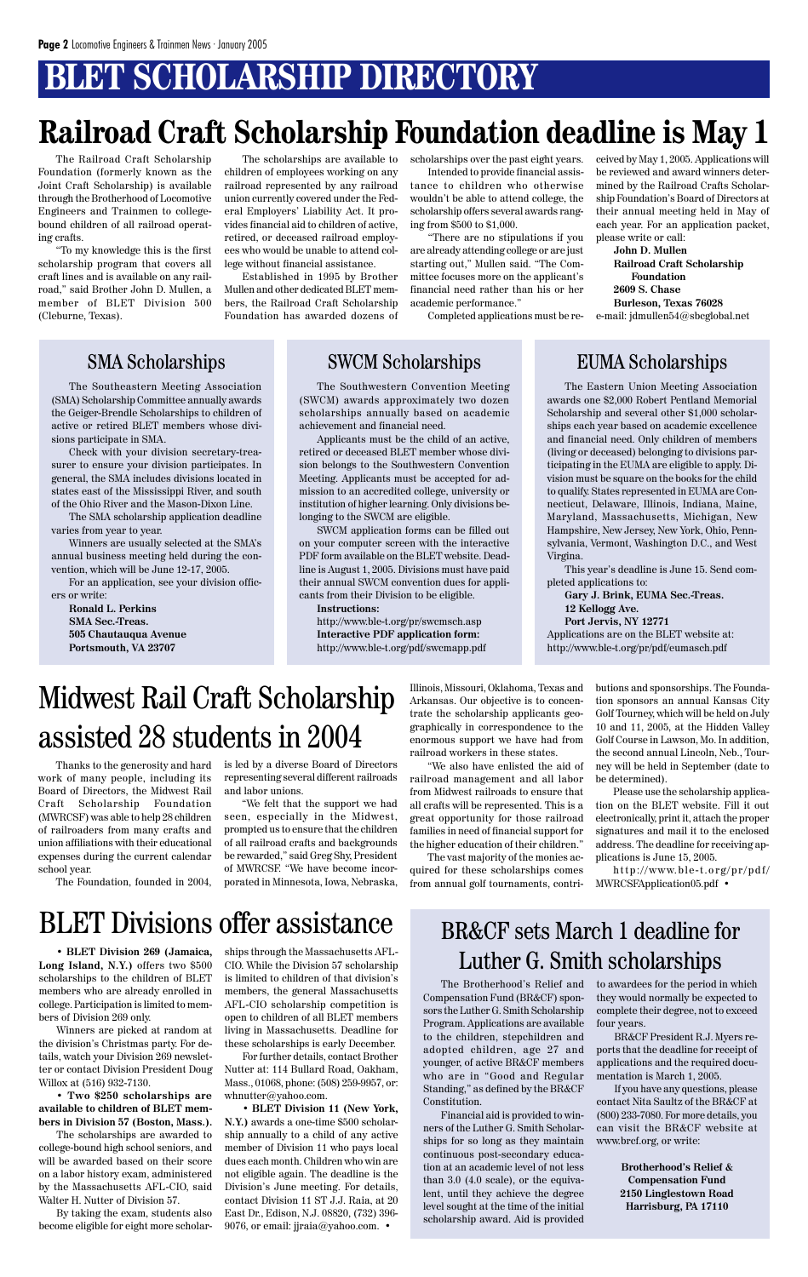## **BLET SCHOLARSHIP DIRECTORY**

## **Railroad Craft Scholarship Foundation deadline is May 1**

The Eastern Union Meeting Association awards one \$2,000 Robert Pentland Memorial Scholarship and several other \$1,000 scholarships each year based on academic excellence and financial need. Only children of members (living or deceased) belonging to divisions participating in the EUMA are eligible to apply. Division must be square on the books for the child to qualify. States represented in EUMA are Connecticut, Delaware, Illinois, Indiana, Maine, Maryland, Massachusetts, Michigan, New Hampshire, New Jersey, New York, Ohio, Pennsylvania, Vermont, Washington D.C., and West Virgina.

This year's deadline is June 15. Send completed applications to:

**Gary J. Brink, EUMA Sec.-Treas. 12 Kellogg Ave. Port Jervis, NY 12771** Applications are on the BLET website at: http://www.ble-t.org/pr/pdf/eumasch.pdf

The Southeastern Meeting Association (SMA) Scholarship Committee annually awards the Geiger-Brendle Scholarships to children of active or retired BLET members whose divisions participate in SMA.

Check with your division secretary-treasurer to ensure your division participates. In general, the SMA includes divisions located in states east of the Mississippi River, and south of the Ohio River and the Mason-Dixon Line.

The SMA scholarship application deadline varies from year to year.

Winners are usually selected at the SMA's annual business meeting held during the convention, which will be June 12-17, 2005.

For an application, see your division officers or write:

**Ronald L. Perkins SMA Sec.-Treas. 505 Chautauqua Avenue Portsmouth, VA 23707**

The Southwestern Convention Meeting (SWCM) awards approximately two dozen scholarships annually based on academic achievement and financial need.

Applicants must be the child of an active, retired or deceased BLET member whose division belongs to the Southwestern Convention Meeting. Applicants must be accepted for admission to an accredited college, university or institution of higher learning. Only divisions belonging to the SWCM are eligible.

SWCM application forms can be filled out on your computer screen with the interactive PDF form available on the BLET website. Deadline is August 1, 2005. Divisions must have paid their annual SWCM convention dues for applicants from their Division to be eligible.

**Instructions:** http://www.ble-t.org/pr/swcmsch.asp **Interactive PDF application form:** http://www.ble-t.org/pdf/swcmapp.pdf

#### SMA Scholarships SWCM Scholarships EUMA Scholarships

BLET Divisions offer assistance

• **BLET Division 269 (Jamaica, Long Island, N.Y.)** offers two \$500 scholarships to the children of BLET members who are already enrolled in college. Participation is limited to members of Division 269 only.

Winners are picked at random at the division's Christmas party. For details, watch your Division 269 newsletter or contact Division President Doug Willox at (516) 932-7130.

• **Two \$250 scholarships are available to children of BLET members in Division 57 (Boston, Mass.).**

The scholarships are awarded to college-bound high school seniors, and will be awarded based on their score on a labor history exam, administered by the Massachusetts AFL-CIO, said Walter H. Nutter of Division 57.

By taking the exam, students also become eligible for eight more scholar-

ships through the Massachusetts AFL-CIO. While the Division 57 scholarship is limited to children of that division's members, the general Massachusetts AFL-CIO scholarship competition is open to children of all BLET members living in Massachusetts. Deadline for these scholarships is early December. For further details, contact Brother

Nutter at: 114 Bullard Road, Oakham, Mass., 01068, phone: (508) 259-9957, or: whnutter@yahoo.com.

• **BLET Division 11 (New York, N.Y.)** awards a one-time \$500 scholarship annually to a child of any active member of Division 11 who pays local dues each month. Children who win are not eligible again. The deadline is the Division's June meeting. For details, contact Division 11 ST J.J. Raia, at 20 East Dr., Edison, N.J. 08820, (732) 396- 9076, or email: jjraia@yahoo.com. •

#### BR&CF sets March 1 deadline for

### Luther G. Smith scholarships

The Brotherhood's Relief and Compensation Fund (BR&CF) sponsors the Luther G. Smith Scholarship Program. Applications are available to the children, stepchildren and adopted children, age 27 and younger, of active BR&CF members who are in "Good and Regular Standing," as defined by the BR&CF Constitution.

Financial aid is provided to winners of the Luther G. Smith Scholarships for so long as they maintain continuous post-secondary education at an academic level of not less than 3.0 (4.0 scale), or the equivalent, until they achieve the degree level sought at the time of the initial scholarship award. Aid is provided

to awardees for the period in which they would normally be expected to complete their degree, not to exceed four years.

BR&CF President R.J. Myers reports that the deadline for receipt of applications and the required documentation is March 1, 2005.

If you have any questions, please contact Nita Saultz of the BR&CF at (800) 233-7080. For more details, you can visit the BR&CF website at www.brcf.org, or write:

> **Brotherhood's Relief & Compensation Fund 2150 Linglestown Road Harrisburg, PA 17110**

The Railroad Craft Scholarship Foundation (formerly known as the Joint Craft Scholarship) is available through the Brotherhood of Locomotive Engineers and Trainmen to collegebound children of all railroad operating crafts.

"To my knowledge this is the first scholarship program that covers all craft lines and is available on any railroad," said Brother John D. Mullen, a member of BLET Division 500 (Cleburne, Texas).

The scholarships are available to children of employees working on any railroad represented by any railroad union currently covered under the Federal Employers' Liability Act. It provides financial aid to children of active, retired, or deceased railroad employees who would be unable to attend college without financial assistance.

Established in 1995 by Brother Mullen and other dedicated BLET members, the Railroad Craft Scholarship Foundation has awarded dozens of

scholarships over the past eight years.

Intended to provide financial assistance to children who otherwise wouldn't be able to attend college, the scholarship offers several awards ranging from \$500 to \$1,000.

"There are no stipulations if you are already attending college or are just starting out," Mullen said. "The Committee focuses more on the applicant's financial need rather than his or her academic performance."

ceived by May 1, 2005. Applications will be reviewed and award winners determined by the Railroad Crafts Scholarship Foundation's Board of Directors at their annual meeting held in May of each year. For an application packet, please write or call:

Completed applications must be re-e-mail: jdmullen54@sbcglobal.net **John D. Mullen Railroad Craft Scholarship Foundation 2609 S. Chase Burleson, Texas 76028**

Thanks to the generosity and hard work of many people, including its Board of Directors, the Midwest Rail Craft Scholarship Foundation (MWRCSF) was able to help 28 children of railroaders from many crafts and union affiliations with their educational expenses during the current calendar school year.

The Foundation, founded in 2004,

is led by a diverse Board of Directors representing several different railroads and labor unions.

"We felt that the support we had seen, especially in the Midwest, prompted us to ensure that the children of all railroad crafts and backgrounds be rewarded," said Greg Shy, President of MWRCSF. "We have become incorporated in Minnesota, Iowa, Nebraska,

Illinois, Missouri, Oklahoma, Texas and Arkansas. Our objective is to concentrate the scholarship applicants geographically in correspondence to the enormous support we have had from railroad workers in these states.

"We also have enlisted the aid of railroad management and all labor from Midwest railroads to ensure that all crafts will be represented. This is a great opportunity for those railroad families in need of financial support for the higher education of their children."

The vast majority of the monies acquired for these scholarships comes from annual golf tournaments, contributions and sponsorships. The Foundation sponsors an annual Kansas City Golf Tourney, which will be held on July 10 and 11, 2005, at the Hidden Valley Golf Course in Lawson, Mo. In addition, the second annual Lincoln, Neb., Tourney will be held in September (date to be determined).

Please use the scholarship application on the BLET website. Fill it out electronically, print it, attach the proper signatures and mail it to the enclosed address. The deadline for receiving applications is June 15, 2005.

http://www.ble-t.org/pr/pdf/ MWRCSFApplication05.pdf •

Midwest Rail Craft Scholarship assisted 28 students in 2004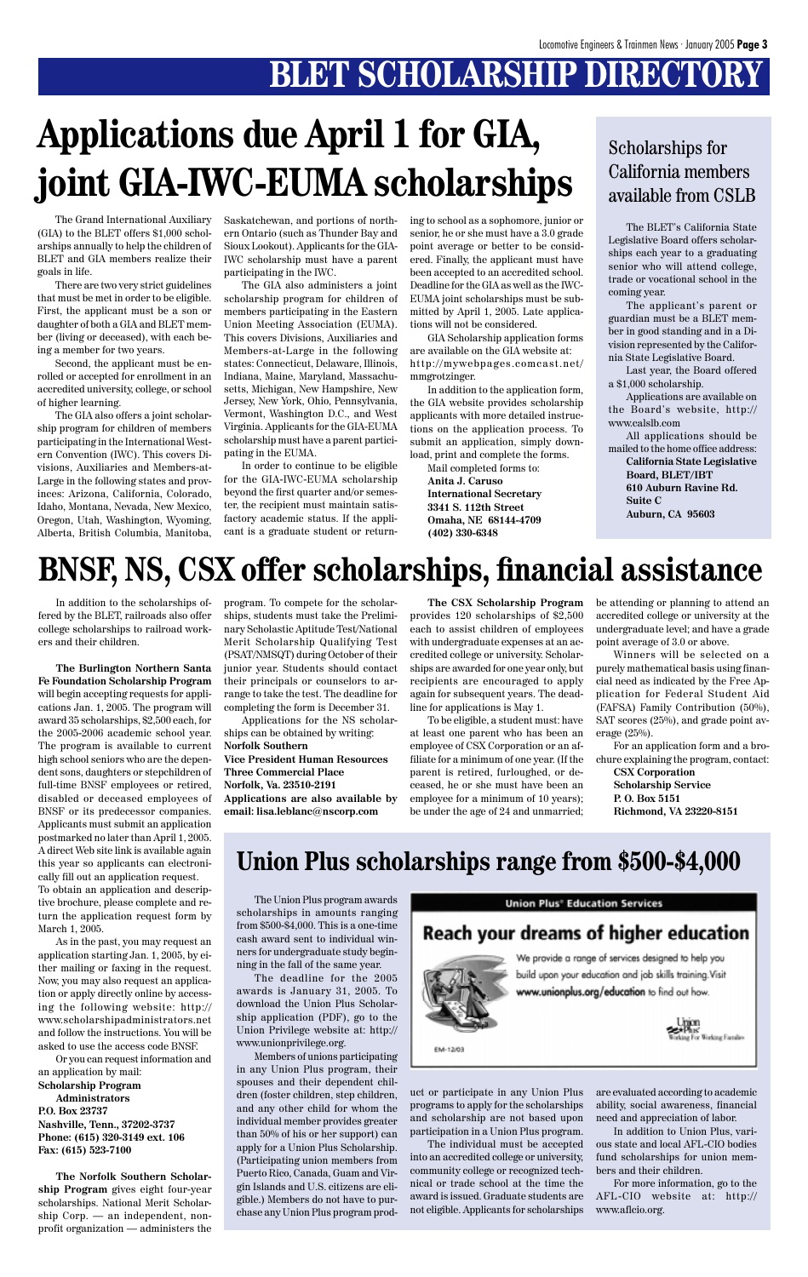## **BLET SCHOLARSHIP DIRECTORY**

In addition to the scholarships offered by the BLET, railroads also offer college scholarships to railroad workers and their children.

**The Burlington Northern Santa Fe Foundation Scholarship Program** will begin accepting requests for applications Jan. 1, 2005. The program will award 35 scholarships, \$2,500 each, for the 2005-2006 academic school year. The program is available to current high school seniors who are the dependent sons, daughters or stepchildren of full-time BNSF employees or retired, disabled or deceased employees of BNSF or its predecessor companies. Applicants must submit an application postmarked no later than April 1, 2005. A direct Web site link is available again this year so applicants can electronically fill out an application request. To obtain an application and descriptive brochure, please complete and return the application request form by

March 1, 2005. As in the past, you may request an application starting Jan. 1, 2005, by either mailing or faxing in the request. Now, you may also request an application or apply directly online by accessing the following website: http:// www.scholarshipadministrators.net and follow the instructions. You will be asked to use the access code BNSF.

Or you can request information and an application by mail:

#### **Scholarship Program Administrators**

**P.O. Box 23737 Nashville, Tenn., 37202-3737 Phone: (615) 320-3149 ext. 106 Fax: (615) 523-7100**

**The Norfolk Southern Scholarship Program** gives eight four-year scholarships. National Merit Scholarship Corp. — an independent, nonprofit organization — administers the



We provide a range of services designed to help you build upon your education and job skills training. Visit www.unionplus.org/education to find out how.



The BLET's California State Legislative Board offers scholarships each year to a graduating senior who will attend college, trade or vocational school in the coming year.

The applicant's parent or guardian must be a BLET member in good standing and in a Division represented by the California State Legislative Board.

Last year, the Board offered a \$1,000 scholarship.

Applications are available on the Board's website, http:// www.calslb.com

All applications should be mailed to the home office address: **California State Legislative Board, BLET/IBT 610 Auburn Ravine Rd. Suite C Auburn, CA 95603**

#### Scholarships for California members available from CSLB

## **BNSF, NS, CSX offer scholarships, financial assistance**

program. To compete for the scholarships, students must take the Preliminary Scholastic Aptitude Test/National Merit Scholarship Qualifying Test (PSAT/NMSQT) during October of their junior year. Students should contact their principals or counselors to arrange to take the test. The deadline for completing the form is December 31.

Applications for the NS scholarships can be obtained by writing: **Norfolk Southern Vice President Human Resources Three Commercial Place Norfolk, Va. 23510-2191 Applications are also available by email: lisa.leblanc@nscorp.com**

**The CSX Scholarship Program** provides 120 scholarships of \$2,500 each to assist children of employees with undergraduate expenses at an accredited college or university. Scholarships are awarded for one year only, but recipients are encouraged to apply again for subsequent years. The deadline for applications is May 1.

To be eligible, a student must: have at least one parent who has been an employee of CSX Corporation or an affiliate for a minimum of one year. (If the parent is retired, furloughed, or deceased, he or she must have been an employee for a minimum of 10 years); be under the age of 24 and unmarried;

be attending or planning to attend an accredited college or university at the undergraduate level; and have a grade point average of 3.0 or above.

Winners will be selected on a purely mathematical basis using financial need as indicated by the Free Application for Federal Student Aid (FAFSA) Family Contribution (50%), SAT scores (25%), and grade point average (25%).

For an application form and a brochure explaining the program, contact:

**CSX Corporation Scholarship Service P. O. Box 5151 Richmond, VA 23220-8151**

The Grand International Auxiliary (GIA) to the BLET offers \$1,000 scholarships annually to help the children of BLET and GIA members realize their goals in life.

There are two very strict guidelines that must be met in order to be eligible. First, the applicant must be a son or daughter of both a GIA and BLET member (living or deceased), with each being a member for two years.

Second, the applicant must be enrolled or accepted for enrollment in an accredited university, college, or school of higher learning.

The GIA also offers a joint scholarship program for children of members participating in the International Western Convention (IWC). This covers Divisions, Auxiliaries and Members-at-Large in the following states and provinces: Arizona, California, Colorado, Idaho, Montana, Nevada, New Mexico, Oregon, Utah, Washington, Wyoming, Alberta, British Columbia, Manitoba,

# **Applications due April 1 for GIA, joint GIA-IWC-EUMA scholarships**

Saskatchewan, and portions of northern Ontario (such as Thunder Bay and Sioux Lookout). Applicants for the GIA-IWC scholarship must have a parent participating in the IWC.

The GIA also administers a joint scholarship program for children of members participating in the Eastern Union Meeting Association (EUMA). This covers Divisions, Auxiliaries and Members-at-Large in the following states: Connecticut, Delaware, Illinois, Indiana, Maine, Maryland, Massachusetts, Michigan, New Hampshire, New Jersey, New York, Ohio, Pennsylvania, Vermont, Washington D.C., and West Virginia. Applicants for the GIA-EUMA scholarship must have a parent participating in the EUMA.

In order to continue to be eligible for the GIA-IWC-EUMA scholarship beyond the first quarter and/or semester, the recipient must maintain satisfactory academic status. If the applicant is a graduate student or returning to school as a sophomore, junior or senior, he or she must have a 3.0 grade point average or better to be considered. Finally, the applicant must have been accepted to an accredited school. Deadline for the GIA as well as the IWC-EUMA joint scholarships must be submitted by April 1, 2005. Late applications will not be considered.

GIA Scholarship application forms are available on the GIA website at: http://mywebpages.comcast.net/ mmgrotzinger.

In addition to the application form, the GIA website provides scholarship applicants with more detailed instructions on the application process. To submit an application, simply download, print and complete the forms.

Mail completed forms to: **Anita J. Caruso International Secretary 3341 S. 112th Street Omaha, NE 68144-4709 (402) 330-6348**

The Union Plus program awards scholarships in amounts ranging from \$500-\$4,000. This is a one-time cash award sent to individual winners for undergraduate study beginning in the fall of the same year. The deadline for the 2005 awards is January 31, 2005. To download the Union Plus Scholarship application (PDF), go to the Union Privilege website at: http:// www.unionprivilege.org. Members of unions participating in any Union Plus program, their spouses and their dependent children (foster children, step children, and any other child for whom the individual member provides greater than 50% of his or her support) can apply for a Union Plus Scholarship. (Participating union members from Puerto Rico, Canada, Guam and Virgin Islands and U.S. citizens are eligible.) Members do not have to purchase any Union Plus program prod-

#### **Union Plus<sup>®</sup> Education Services**

#### **Reach your dreams of higher education**

uct or participate in any Union Plus programs to apply for the scholarships and scholarship are not based upon participation in a Union Plus program.

The individual must be accepted into an accredited college or university, community college or recognized technical or trade school at the time the award is issued. Graduate students are not eligible. Applicants for scholarships

are evaluated according to academic ability, social awareness, financial need and appreciation of labor.

In addition to Union Plus, various state and local AFL-CIO bodies fund scholarships for union members and their children.

For more information, go to the AFL-CIO website at: http:// www.aflcio.org.

### **Union Plus scholarships range from \$500-\$4,000**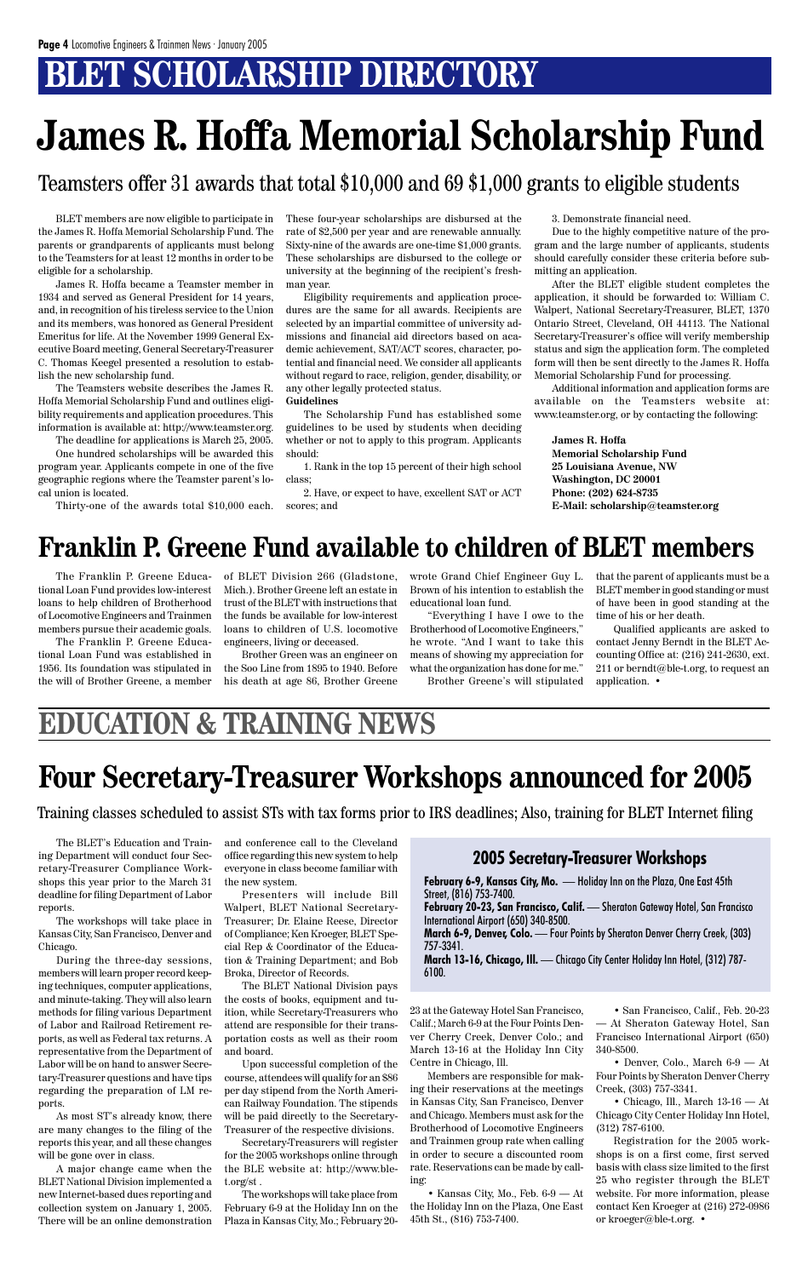## **BLET SCHOLARSHIP DIRECTORY**

The Franklin P. Greene Educational Loan Fund provides low-interest loans to help children of Brotherhood of Locomotive Engineers and Trainmen members pursue their academic goals.

The Franklin P. Greene Educational Loan Fund was established in 1956. Its foundation was stipulated in the will of Brother Greene, a member of BLET Division 266 (Gladstone, Mich.). Brother Greene left an estate in trust of the BLET with instructions that the funds be available for low-interest loans to children of U.S. locomotive engineers, living or deceased.

Brother Green was an engineer on the Soo Line from 1895 to 1940. Before his death at age 86, Brother Greene wrote Grand Chief Engineer Guy L. Brown of his intention to establish the educational loan fund.

"Everything I have I owe to the Brotherhood of Locomotive Engineers," he wrote. "And I want to take this means of showing my appreciation for what the organization has done for me."

Brother Greene's will stipulated

### **Franklin P. Greene Fund available to children of BLET members**

The BLET's Education and Training Department will conduct four Secretary-Treasurer Compliance Workshops this year prior to the March 31 deadline for filing Department of Labor reports.

The workshops will take place in Kansas City, San Francisco, Denver and

Chicago.

During the three-day sessions, members will learn proper record keeping techniques, computer applications, and minute-taking. They will also learn methods for filing various Department of Labor and Railroad Retirement reports, as well as Federal tax returns. A representative from the Department of Labor will be on hand to answer Secretary-Treasurer questions and have tips regarding the preparation of LM reports.

As most ST's already know, there are many changes to the filing of the reports this year, and all these changes will be gone over in class.

A major change came when the BLET National Division implemented a new Internet-based dues reporting and collection system on January 1, 2005. There will be an online demonstration

and conference call to the Cleveland office regarding this new system to help everyone in class become familiar with the new system.

Presenters will include Bill Walpert, BLET National Secretary-Treasurer; Dr. Elaine Reese, Director of Compliance; Ken Kroeger, BLET Special Rep & Coordinator of the Education & Training Department; and Bob Broka, Director of Records.

The BLET National Division pays the costs of books, equipment and tuition, while Secretary-Treasurers who attend are responsible for their transportation costs as well as their room and board.

Upon successful completion of the course, attendees will qualify for an \$86 per day stipend from the North American Railway Foundation. The stipends will be paid directly to the Secretary-Treasurer of the respective divisions.

Secretary-Treasurers will register for the 2005 workshops online through the BLE website at: http://www.blet.org/st .

The workshops will take place from February 6-9 at the Holiday Inn on the Plaza in Kansas City, Mo.; February 20-

## **Four Secretary-Treasurer Workshops announced for 2005**

BLET members are now eligible to participate in the James R. Hoffa Memorial Scholarship Fund. The parents or grandparents of applicants must belong to the Teamsters for at least 12 months in order to be eligible for a scholarship.

James R. Hoffa became a Teamster member in 1934 and served as General President for 14 years, and, in recognition of his tireless service to the Union and its members, was honored as General President Emeritus for life. At the November 1999 General Executive Board meeting, General Secretary-Treasurer C. Thomas Keegel presented a resolution to establish the new scholarship fund.

> • Chicago, Ill., March  $13-16$  — At Chicago City Center Holiday Inn Hotel, (312) 787-6100.

The Teamsters website describes the James R. Hoffa Memorial Scholarship Fund and outlines eligibility requirements and application procedures. This information is available at: http://www.teamster.org.

The deadline for applications is March 25, 2005.

One hundred scholarships will be awarded this program year. Applicants compete in one of the five geographic regions where the Teamster parent's local union is located.

Thirty-one of the awards total \$10,000 each.

These four-year scholarships are disbursed at the rate of \$2,500 per year and are renewable annually. Sixty-nine of the awards are one-time \$1,000 grants. These scholarships are disbursed to the college or university at the beginning of the recipient's freshman year.

Eligibility requirements and application procedures are the same for all awards. Recipients are selected by an impartial committee of university admissions and financial aid directors based on academic achievement, SAT/ACT scores, character, potential and financial need. We consider all applicants without regard to race, religion, gender, disability, or any other legally protected status.

#### **Guidelines**

The Scholarship Fund has established some guidelines to be used by students when deciding whether or not to apply to this program. Applicants should:

1. Rank in the top 15 percent of their high school class;

2. Have, or expect to have, excellent SAT or ACT scores; and

3. Demonstrate financial need.

Due to the highly competitive nature of the program and the large number of applicants, students should carefully consider these criteria before submitting an application.

After the BLET eligible student completes the application, it should be forwarded to: William C. Walpert, National Secretary-Treasurer, BLET, 1370 Ontario Street, Cleveland, OH 44113. The National Secretary-Treasurer's office will verify membership status and sign the application form. The completed form will then be sent directly to the James R. Hoffa Memorial Scholarship Fund for processing.

Additional information and application forms are available on the Teamsters website at: www.teamster.org, or by contacting the following:

**James R. Hoffa Memorial Scholarship Fund 25 Louisiana Avenue, NW Washington, DC 20001 Phone: (202) 624-8735 E-Mail: scholarship@teamster.org**

# **James R. Hoffa Memorial Scholarship Fund**

### Teamsters offer 31 awards that total \$10,000 and 69 \$1,000 grants to eligible students

that the parent of applicants must be a BLET member in good standing or must of have been in good standing at the time of his or her death.

Qualified applicants are asked to contact Jenny Berndt in the BLET Accounting Office at: (216) 241-2630, ext. 211 or berndt@ble-t.org, to request an application. •

23 at the Gateway Hotel San Francisco, Calif.; March 6-9 at the Four Points Denver Cherry Creek, Denver Colo.; and March 13-16 at the Holiday Inn City Centre in Chicago, Ill.

Members are responsible for making their reservations at the meetings in Kansas City, San Francisco, Denver and Chicago. Members must ask for the Brotherhood of Locomotive Engineers and Trainmen group rate when calling in order to secure a discounted room rate. Reservations can be made by calling:

• Kansas City, Mo., Feb. 6-9 — At the Holiday Inn on the Plaza, One East 45th St., (816) 753-7400.

• San Francisco, Calif., Feb. 20-23 — At Sheraton Gateway Hotel, San Francisco International Airport (650) 340-8500.

• Denver, Colo., March 6-9 — At Four Points by Sheraton Denver Cherry Creek, (303) 757-3341.

Registration for the 2005 workshops is on a first come, first served basis with class size limited to the first 25 who register through the BLET website. For more information, please contact Ken Kroeger at (216) 272-0986 or kroeger@ble-t.org. •

### **EDUCATION & TRAINING NEWS**

Training classes scheduled to assist STs with tax forms prior to IRS deadlines; Also, training for BLET Internet filing

#### **2005 Secretary-Treasurer Workshops**

**February 6-9, Kansas City, Mo.** — Holiday Inn on the Plaza, One East 45th Street, (816) 753-7400.

**February 20-23, San Francisco, Calif.** — Sheraton Gateway Hotel, San Francisco International Airport (650) 340-8500.

**March 6-9, Denver, Colo.** — Four Points by Sheraton Denver Cherry Creek, (303)

757-3341. **March 13-16, Chicago, Ill.** — Chicago City Center Holiday Inn Hotel, (312) 787- 6100.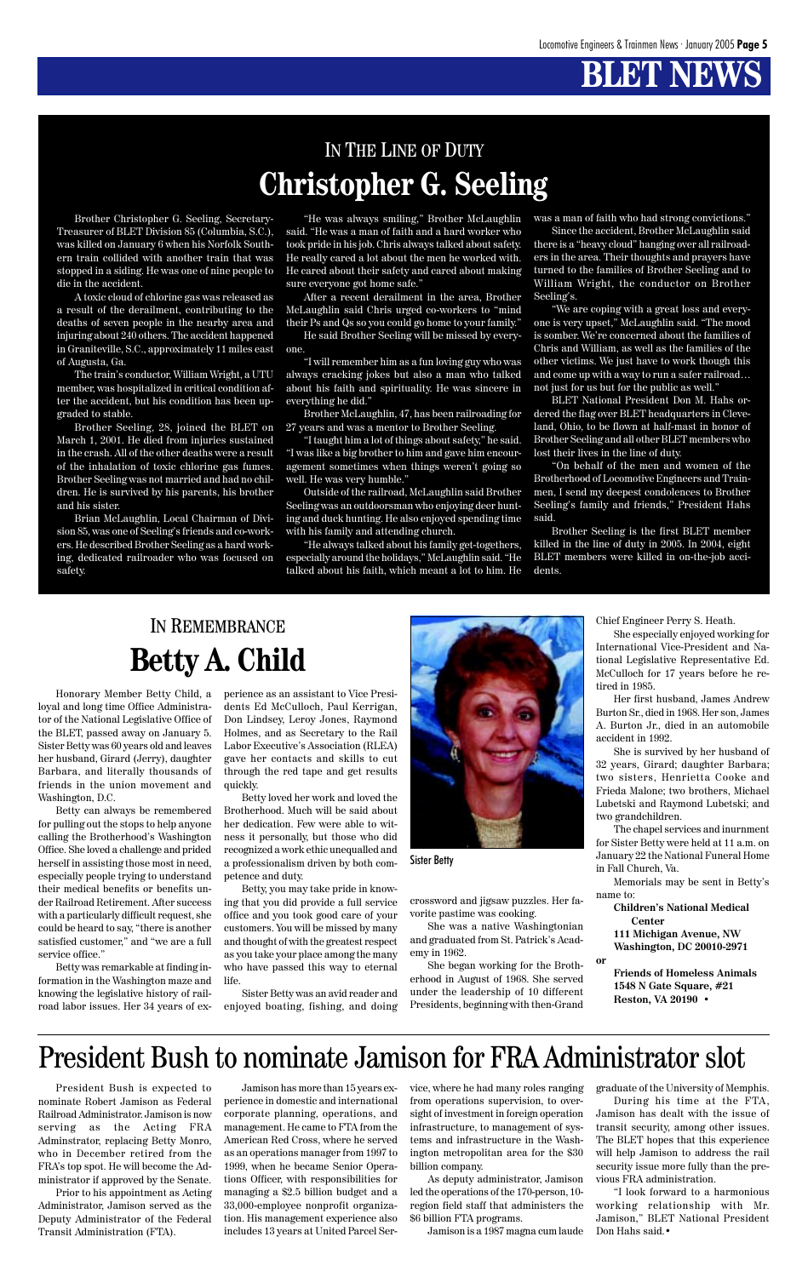## **BLET NEW**

### IN THE LINE OF DUTY **Christopher G. Seeling**

Brother Christopher G. Seeling, Secretary-Treasurer of BLET Division 85 (Columbia, S.C.), was killed on January 6 when his Norfolk Southern train collided with another train that was stopped in a siding. He was one of nine people to die in the accident.

A toxic cloud of chlorine gas was released as a result of the derailment, contributing to the deaths of seven people in the nearby area and injuring about 240 others. The accident happened in Graniteville, S.C., approximately 11 miles east of Augusta, Ga.

The train's conductor, William Wright, a UTU member, was hospitalized in critical condition after the accident, but his condition has been upgraded to stable.

Brother Seeling, 28, joined the BLET on March 1, 2001. He died from injuries sustained in the crash. All of the other deaths were a result of the inhalation of toxic chlorine gas fumes. Brother Seeling was not married and had no children. He is survived by his parents, his brother and his sister.

Brian McLaughlin, Local Chairman of Division 85, was one of Seeling's friends and co-workers. He described Brother Seeling as a hard working, dedicated railroader who was focused on safety.

"He was always smiling," Brother McLaughlin said. "He was a man of faith and a hard worker who took pride in his job. Chris always talked about safety. He really cared a lot about the men he worked with. He cared about their safety and cared about making sure everyone got home safe."

After a recent derailment in the area, Brother McLaughlin said Chris urged co-workers to "mind their Ps and Qs so you could go home to your family."

He said Brother Seeling will be missed by everyone.

"I will remember him as a fun loving guy who was always cracking jokes but also a man who talked about his faith and spirituality. He was sincere in everything he did."

Brother McLaughlin, 47, has been railroading for 27 years and was a mentor to Brother Seeling.

"I taught him a lot of things about safety," he said. "I was like a big brother to him and gave him encouragement sometimes when things weren't going so well. He was very humble."

Outside of the railroad, McLaughlin said Brother Seeling was an outdoorsman who enjoying deer hunting and duck hunting. He also enjoyed spending time with his family and attending church.

"He always talked about his family get-togethers, especially around the holidays," McLaughlin said. "He talked about his faith, which meant a lot to him. He was a man of faith who had strong convictions."

Since the accident, Brother McLaughlin said there is a "heavy cloud" hanging over all railroaders in the area. Their thoughts and prayers have turned to the families of Brother Seeling and to William Wright, the conductor on Brother Seeling's.

"We are coping with a great loss and everyone is very upset," McLaughlin said. "The mood is somber. We're concerned about the families of Chris and William, as well as the families of the other victims. We just have to work though this and come up with a way to run a safer railroad… not just for us but for the public as well."

BLET National President Don M. Hahs ordered the flag over BLET headquarters in Cleveland, Ohio, to be flown at half-mast in honor of Brother Seeling and all other BLET members who lost their lives in the line of duty.

"On behalf of the men and women of the Brotherhood of Locomotive Engineers and Trainmen, I send my deepest condolences to Brother Seeling's family and friends," President Hahs said.

Brother Seeling is the first BLET member killed in the line of duty in 2005. In 2004, eight BLET members were killed in on-the-job accidents.

### IN REMEMBRANCE **Betty A. Child**

Honorary Member Betty Child, a loyal and long time Office Administrator of the National Legislative Office of the BLET, passed away on January 5. Sister Betty was 60 years old and leaves her husband, Girard (Jerry), daughter Barbara, and literally thousands of friends in the union movement and Washington, D.C.

Betty can always be remembered for pulling out the stops to help anyone calling the Brotherhood's Washington Office. She loved a challenge and prided herself in assisting those most in need, especially people trying to understand their medical benefits or benefits under Railroad Retirement. After success with a particularly difficult request, she could be heard to say, "there is another satisfied customer," and "we are a full service office."

Betty was remarkable at finding information in the Washington maze and knowing the legislative history of railroad labor issues. Her 34 years of experience as an assistant to Vice Presidents Ed McCulloch, Paul Kerrigan, Don Lindsey, Leroy Jones, Raymond Holmes, and as Secretary to the Rail Labor Executive's Association (RLEA) gave her contacts and skills to cut through the red tape and get results quickly.

Betty loved her work and loved the Brotherhood. Much will be said about her dedication. Few were able to witness it personally, but those who did recognized a work ethic unequalled and a professionalism driven by both competence and duty.

Betty, you may take pride in knowing that you did provide a full service office and you took good care of your customers. You will be missed by many and thought of with the greatest respect as you take your place among the many who have passed this way to eternal life.

Sister Betty was an avid reader and enjoyed boating, fishing, and doing



Sister Betty

crossword and jigsaw puzzles. Her favorite pastime was cooking.

She was a native Washingtonian

and graduated from St. Patrick's Academy in 1962.

She began working for the Brotherhood in August of 1968. She served under the leadership of 10 different Presidents, beginning with then-Grand Chief Engineer Perry S. Heath.

She especially enjoyed working for International Vice-President and National Legislative Representative Ed. McCulloch for 17 years before he retired in 1985.

Her first husband, James Andrew Burton Sr., died in 1968. Her son, James A. Burton Jr., died in an automobile accident in 1992.

She is survived by her husband of 32 years, Girard; daughter Barbara; two sisters, Henrietta Cooke and Frieda Malone; two brothers, Michael Lubetski and Raymond Lubetski; and two grandchildren.

The chapel services and inurnment for Sister Betty were held at 11 a.m. on January 22 the National Funeral Home in Fall Church, Va.

Memorials may be sent in Betty's name to:

> **Children's National Medical Center**

**111 Michigan Avenue, NW**

**Washington, DC 20010-2971**

**or**

**Friends of Homeless Animals 1548 N Gate Square, #21 Reston, VA 20190 •**

President Bush is expected to nominate Robert Jamison as Federal Railroad Administrator. Jamison is now serving as the Acting FRA Adminstrator, replacing Betty Monro, who in December retired from the FRA's top spot. He will become the Administrator if approved by the Senate.

Prior to his appointment as Acting Administrator, Jamison served as the Deputy Administrator of the Federal Transit Administration (FTA).

Jamison has more than 15 years experience in domestic and international corporate planning, operations, and management. He came to FTA from the American Red Cross, where he served as an operations manager from 1997 to 1999, when he became Senior Operations Officer, with responsibilities for managing a \$2.5 billion budget and a 33,000-employee nonprofit organization. His management experience also includes 13 years at United Parcel Service, where he had many roles ranging from operations supervision, to oversight of investment in foreign operation infrastructure, to management of systems and infrastructure in the Washington metropolitan area for the \$30 billion company.

As deputy administrator, Jamison led the operations of the 170-person, 10 region field staff that administers the \$6 billion FTA programs.

Jamison is a 1987 magna cum laude

graduate of the University of Memphis. During his time at the FTA, Jamison has dealt with the issue of transit security, among other issues. The BLET hopes that this experience will help Jamison to address the rail security issue more fully than the previous FRA administration.

"I look forward to a harmonious working relationship with Mr. Jamison," BLET National President Don Hahs said.•

### President Bush to nominate Jamison for FRA Administrator slot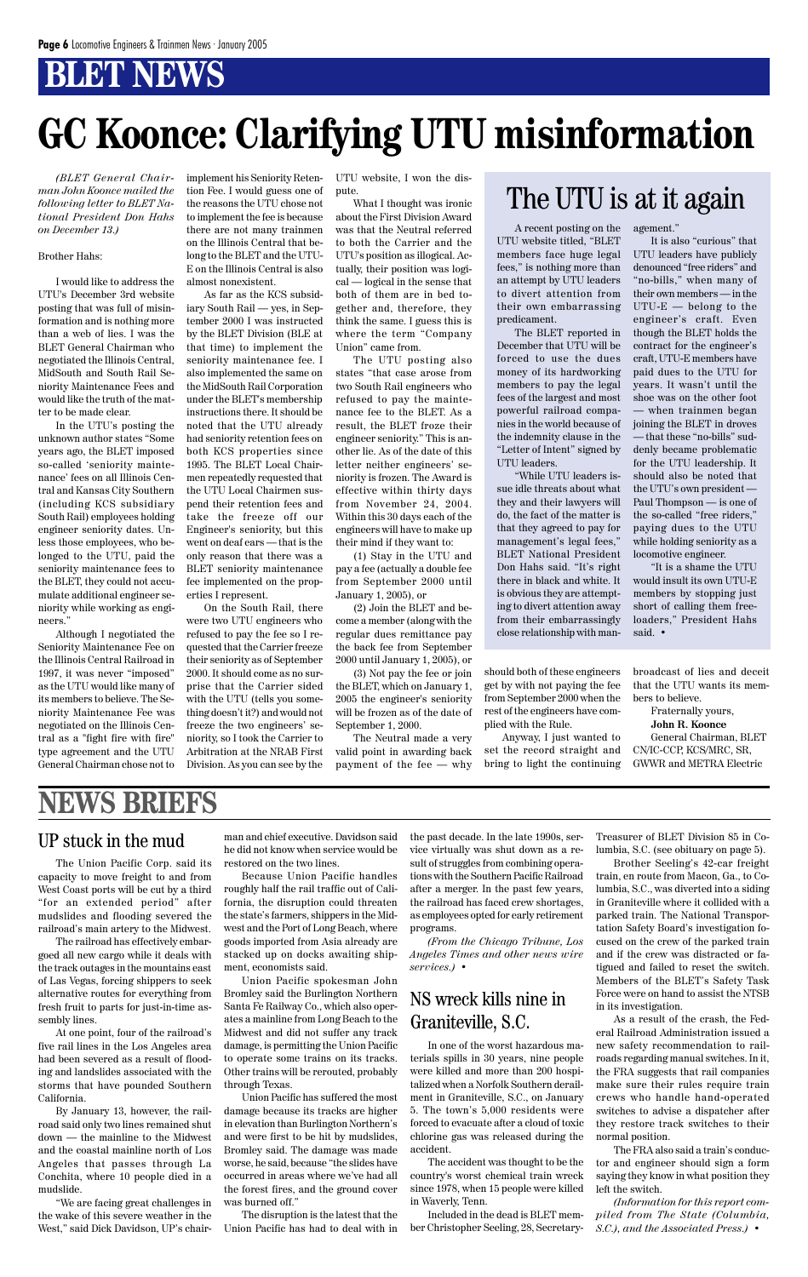## **BLET NEWS**

*(BLET General Chairman John Koonce mailed the following letter to BLET National President Don Hahs on December 13.)*

#### Brother Hahs:

I would like to address the UTU's December 3rd website posting that was full of misinformation and is nothing more than a web of lies. I was the BLET General Chairman who negotiated the Illinois Central, MidSouth and South Rail Seniority Maintenance Fees and would like the truth of the matter to be made clear.

In the UTU's posting the unknown author states "Some years ago, the BLET imposed so-called 'seniority maintenance' fees on all Illinois Central and Kansas City Southern (including KCS subsidiary South Rail) employees holding engineer seniority dates. Unless those employees, who belonged to the UTU, paid the seniority maintenance fees to the BLET, they could not accumulate additional engineer seniority while working as engineers."

Although I negotiated the Seniority Maintenance Fee on the Illinois Central Railroad in 1997, it was never "imposed" as the UTU would like many of its members to believe. The Seniority Maintenance Fee was negotiated on the Illinois Central as a "fight fire with fire" type agreement and the UTU General Chairman chose not to

implement his Seniority Retention Fee. I would guess one of the reasons the UTU chose not to implement the fee is because there are not many trainmen on the Illinois Central that belong to the BLET and the UTU-E on the Illinois Central is also almost nonexistent.

As far as the KCS subsidiary South Rail — yes, in September 2000 I was instructed by the BLET Division (BLE at that time) to implement the seniority maintenance fee. I also implemented the same on the MidSouth Rail Corporation under the BLET's membership instructions there. It should be noted that the UTU already had seniority retention fees on both KCS properties since 1995. The BLET Local Chairmen repeatedly requested that the UTU Local Chairmen suspend their retention fees and take the freeze off our Engineer's seniority, but this went on deaf ears — that is the only reason that there was a BLET seniority maintenance fee implemented on the properties I represent.

On the South Rail, there were two UTU engineers who refused to pay the fee so I requested that the Carrier freeze their seniority as of September 2000. It should come as no surprise that the Carrier sided with the UTU (tells you something doesn't it?) and would not freeze the two engineers' seniority, so I took the Carrier to Arbitration at the NRAB First Division. As you can see by the

UTU website, I won the dispute.

What I thought was ironic about the First Division Award was that the Neutral referred to both the Carrier and the UTU's position as illogical. Actually, their position was logical — logical in the sense that both of them are in bed together and, therefore, they think the same. I guess this is where the term "Company Union" came from.

The UTU posting also states "that case arose from two South Rail engineers who refused to pay the maintenance fee to the BLET. As a result, the BLET froze their engineer seniority." This is another lie. As of the date of this letter neither engineers' seniority is frozen. The Award is effective within thirty days from November 24, 2004. Within this 30 days each of the engineers will have to make up their mind if they want to:

(1) Stay in the UTU and pay a fee (actually a double fee from September 2000 until January 1, 2005), or

(2) Join the BLET and become a member (along with the regular dues remittance pay the back fee from September 2000 until January 1, 2005), or

(3) Not pay the fee or join the BLET, which on January 1, 2005 the engineer's seniority will be frozen as of the date of September 1, 2000.

The Neutral made a very valid point in awarding back payment of the fee — why

# **GC Koonce: Clarifying UTU misinformation**

A recent posting on the UTU website titled, "BLET members face huge legal fees," is nothing more than an attempt by UTU leaders to divert attention from their own embarrassing predicament.

The BLET reported in December that UTU will be forced to use the dues money of its hardworking members to pay the legal fees of the largest and most powerful railroad companies in the world because of the indemnity clause in the "Letter of Intent" signed by UTU leaders.

"While UTU leaders issue idle threats about what they and their lawyers will do, the fact of the matter is that they agreed to pay for management's legal fees," BLET National President Don Hahs said. "It's right there in black and white. It is obvious they are attempting to divert attention away from their embarrassingly close relationship with management."

It is also "curious" that UTU leaders have publicly denounced "free riders" and "no-bills," when many of their own members — in the UTU-E — belong to the engineer's craft. Even though the BLET holds the contract for the engineer's craft, UTU-E members have paid dues to the UTU for years. It wasn't until the shoe was on the other foot — when trainmen began joining the BLET in droves — that these "no-bills" suddenly became problematic for the UTU leadership. It should also be noted that the UTU's own president — Paul Thompson — is one of the so-called "free riders," paying dues to the UTU while holding seniority as a locomotive engineer.

"It is a shame the UTU would insult its own UTU-E members by stopping just short of calling them freeloaders," President Hahs said. •

### The UTU is at it again

should both of these engineers get by with not paying the fee from September 2000 when the rest of the engineers have complied with the Rule.

Anyway, I just wanted to set the record straight and bring to light the continuing broadcast of lies and deceit that the UTU wants its members to believe.

Fraternally yours, **John R. Koonce**

General Chairman, BLET CN/IC-CCP, KCS/MRC, SR, GWWR and METRA Electric

### **NEWS BRIEFS**

#### UP stuck in the mud

The Union Pacific Corp. said its capacity to move freight to and from West Coast ports will be cut by a third "for an extended period" after mudslides and flooding severed the railroad's main artery to the Midwest. The railroad has effectively embargoed all new cargo while it deals with the track outages in the mountains east of Las Vegas, forcing shippers to seek alternative routes for everything from fresh fruit to parts for just-in-time assembly lines.

At one point, four of the railroad's five rail lines in the Los Angeles area had been severed as a result of flooding and landslides associated with the storms that have pounded Southern California.

By January 13, however, the railroad said only two lines remained shut down — the mainline to the Midwest and the coastal mainline north of Los Angeles that passes through La Conchita, where 10 people died in a mudslide.

"We are facing great challenges in the wake of this severe weather in the West," said Dick Davidson, UP's chairman and chief executive. Davidson said he did not know when service would be restored on the two lines.

Because Union Pacific handles roughly half the rail traffic out of California, the disruption could threaten the state's farmers, shippers in the Midwest and the Port of Long Beach, where goods imported from Asia already are stacked up on docks awaiting shipment, economists said. Union Pacific spokesman John Bromley said the Burlington Northern Santa Fe Railway Co., which also operates a mainline from Long Beach to the Midwest and did not suffer any track damage, is permitting the Union Pacific to operate some trains on its tracks. Other trains will be rerouted, probably through Texas. Union Pacific has suffered the most damage because its tracks are higher in elevation than Burlington Northern's and were first to be hit by mudslides, Bromley said. The damage was made worse, he said, because "the slides have occurred in areas where we've had all the forest fires, and the ground cover was burned off."

The disruption is the latest that the Union Pacific has had to deal with in the past decade. In the late 1990s, service virtually was shut down as a result of struggles from combining operations with the Southern Pacific Railroad after a merger. In the past few years, the railroad has faced crew shortages, as employees opted for early retirement programs.

*(From the Chicago Tribune, Los Angeles Times and other news wire services.)* •

#### NS wreck kills nine in Graniteville, S.C.

In one of the worst hazardous materials spills in 30 years, nine people were killed and more than 200 hospitalized when a Norfolk Southern derailment in Graniteville, S.C., on January 5. The town's 5,000 residents were forced to evacuate after a cloud of toxic chlorine gas was released during the accident.

The accident was thought to be the country's worst chemical train wreck since 1978, when 15 people were killed in Waverly, Tenn.

Included in the dead is BLET member Christopher Seeling, 28, SecretaryTreasurer of BLET Division 85 in Columbia, S.C. (see obituary on page 5).

Brother Seeling's 42-car freight train, en route from Macon, Ga., to Columbia, S.C., was diverted into a siding in Graniteville where it collided with a parked train. The National Transportation Safety Board's investigation focused on the crew of the parked train and if the crew was distracted or fatigued and failed to reset the switch. Members of the BLET's Safety Task Force were on hand to assist the NTSB in its investigation. As a result of the crash, the Federal Railroad Administration issued a new safety recommendation to railroads regarding manual switches. In it, the FRA suggests that rail companies make sure their rules require train crews who handle hand-operated switches to advise a dispatcher after they restore track switches to their normal position. The FRA also said a train's conductor and engineer should sign a form saying they know in what position they left the switch.

*(Information for this report compiled from The State (Columbia, S.C.), and the Associated Press.)* •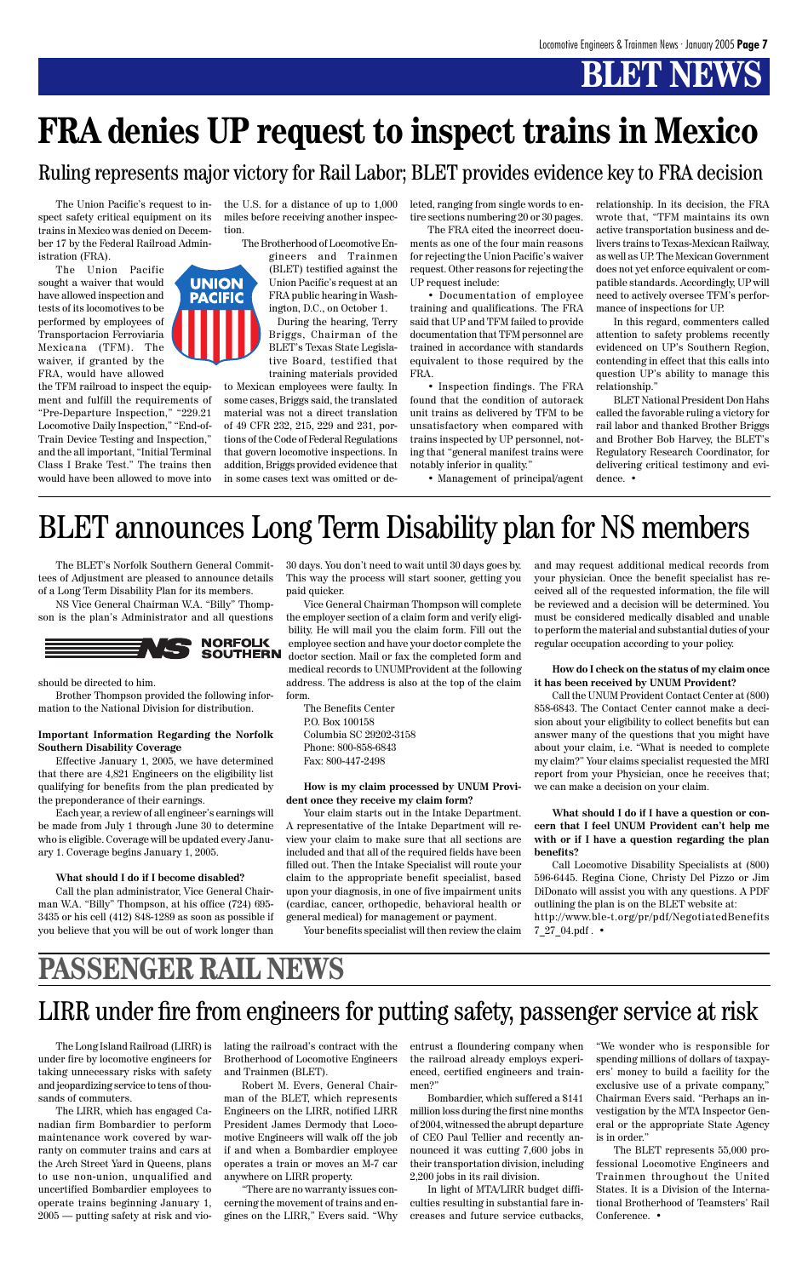## **BLET NEWS**

The BLET's Norfolk Southern General Committees of Adjustment are pleased to announce details of a Long Term Disability Plan for its members.

NS Vice General Chairman W.A. "Billy" Thompson is the plan's Administrator and all questions



should be directed to him.

Brother Thompson provided the following information to the National Division for distribution.

#### **Important Information Regarding the Norfolk Southern Disability Coverage**

Effective January 1, 2005, we have determined that there are 4,821 Engineers on the eligibility list qualifying for benefits from the plan predicated by the preponderance of their earnings.

Each year, a review of all engineer's earnings will be made from July 1 through June 30 to determine who is eligible. Coverage will be updated every January 1. Coverage begins January 1, 2005.

#### **What should I do if I become disabled?**

Call the plan administrator, Vice General Chairman W.A. "Billy" Thompson, at his office (724) 695- 3435 or his cell (412) 848-1289 as soon as possible if you believe that you will be out of work longer than 30 days. You don't need to wait until 30 days goes by. This way the process will start sooner, getting you paid quicker.

Vice General Chairman Thompson will complete the employer section of a claim form and verify eligibility. He will mail you the claim form. Fill out the employee section and have your doctor complete the doctor section. Mail or fax the completed form and medical records to UNUMProvident at the following address. The address is also at the top of the claim form.

The Benefits Center P.O. Box 100158 Columbia SC 29202-3158 Phone: 800-858-6843 Fax: 800-447-2498

#### **How is my claim processed by UNUM Provident once they receive my claim form?**

Your claim starts out in the Intake Department. A representative of the Intake Department will review your claim to make sure that all sections are included and that all of the required fields have been filled out. Then the Intake Specialist will route your claim to the appropriate benefit specialist, based upon your diagnosis, in one of five impairment units (cardiac, cancer, orthopedic, behavioral health or general medical) for management or payment.

Your benefits specialist will then review the claim

## BLET announces Long Term Disability plan for NS members

and may request additional medical records from your physician. Once the benefit specialist has received all of the requested information, the file will be reviewed and a decision will be determined. You must be considered medically disabled and unable to perform the material and substantial duties of your regular occupation according to your policy.

#### **How do I check on the status of my claim once it has been received by UNUM Provident?**

Call the UNUM Provident Contact Center at (800) 858-6843. The Contact Center cannot make a decision about your eligibility to collect benefits but can answer many of the questions that you might have about your claim, i.e. "What is needed to complete my claim?" Your claims specialist requested the MRI report from your Physician, once he receives that; we can make a decision on your claim.

#### **What should I do if I have a question or concern that I feel UNUM Provident can't help me with or if I have a question regarding the plan benefits?**

Call Locomotive Disability Specialists at (800) 596-6445. Regina Cione, Christy Del Pizzo or Jim DiDonato will assist you with any questions. A PDF outlining the plan is on the BLET website at:

http://www.ble-t.org/pr/pdf/NegotiatedBenefits 7\_27\_04.pdf . •

The Long Island Railroad (LIRR) is under fire by locomotive engineers for taking unnecessary risks with safety and jeopardizing service to tens of thousands of commuters.

The LIRR, which has engaged Canadian firm Bombardier to perform maintenance work covered by warranty on commuter trains and cars at the Arch Street Yard in Queens, plans to use non-union, unqualified and uncertified Bombardier employees to operate trains beginning January 1, 2005 — putting safety at risk and violating the railroad's contract with the Brotherhood of Locomotive Engineers and Trainmen (BLET).

Robert M. Evers, General Chairman of the BLET, which represents Engineers on the LIRR, notified LIRR President James Dermody that Locomotive Engineers will walk off the job if and when a Bombardier employee operates a train or moves an M-7 car anywhere on LIRR property.

"There are no warranty issues concerning the movement of trains and engines on the LIRR," Evers said. "Why

entrust a floundering company when the railroad already employs experienced, certified engineers and trainmen?"

Bombardier, which suffered a \$141 million loss during the first nine months of 2004, witnessed the abrupt departure of CEO Paul Tellier and recently announced it was cutting 7,600 jobs in their transportation division, including 2,200 jobs in its rail division.

In light of MTA/LIRR budget difficulties resulting in substantial fare increases and future service cutbacks, "We wonder who is responsible for spending millions of dollars of taxpayers' money to build a facility for the exclusive use of a private company," Chairman Evers said. "Perhaps an investigation by the MTA Inspector General or the appropriate State Agency is in order."

The BLET represents 55,000 professional Locomotive Engineers and Trainmen throughout the United States. It is a Division of the International Brotherhood of Teamsters' Rail Conference. •

### LIRR under fire from engineers for putting safety, passenger service at risk

The Union Pacific's request to inspect safety critical equipment on its trains in Mexico was denied on December 17 by the Federal Railroad Administration (FRA).

The Union Pacific sought a waiver that would have allowed inspection and tests of its locomotives to be performed by employees of Transportacion Ferroviaria Mexicana (TFM). The waiver, if granted by the FRA, would have allowed

the TFM railroad to inspect the equipment and fulfill the requirements of "Pre-Departure Inspection," "229.21 Locomotive Daily Inspection," "End-of-Train Device Testing and Inspection," and the all important, "Initial Terminal Class I Brake Test." The trains then would have been allowed to move into



the U.S. for a distance of up to 1,000 miles before receiving another inspection.

The Brotherhood of Locomotive En-

gineers and Trainmen (BLET) testified against the Union Pacific's request at an FRA public hearing in Washington, D.C., on October 1.

During the hearing, Terry Briggs, Chairman of the BLET's Texas State Legislative Board, testified that training materials provided

to Mexican employees were faulty. In some cases, Briggs said, the translated material was not a direct translation of 49 CFR 232, 215, 229 and 231, portions of the Code of Federal Regulations that govern locomotive inspections. In addition, Briggs provided evidence that in some cases text was omitted or deleted, ranging from single words to entire sections numbering 20 or 30 pages.

The FRA cited the incorrect documents as one of the four main reasons for rejecting the Union Pacific's waiver request. Other reasons for rejecting the UP request include:

• Documentation of employee training and qualifications. The FRA said that UP and TFM failed to provide documentation that TFM personnel are trained in accordance with standards equivalent to those required by the FRA.

• Inspection findings. The FRA found that the condition of autorack unit trains as delivered by TFM to be unsatisfactory when compared with trains inspected by UP personnel, noting that "general manifest trains were notably inferior in quality."

• Management of principal/agent

relationship. In its decision, the FRA wrote that, "TFM maintains its own active transportation business and delivers trains to Texas-Mexican Railway, as well as UP. The Mexican Government does not yet enforce equivalent or compatible standards. Accordingly, UP will need to actively oversee TFM's performance of inspections for UP.

In this regard, commenters called attention to safety problems recently evidenced on UP's Southern Region, contending in effect that this calls into question UP's ability to manage this relationship."

BLET National President Don Hahs called the favorable ruling a victory for rail labor and thanked Brother Briggs and Brother Bob Harvey, the BLET's Regulatory Research Coordinator, for delivering critical testimony and evidence. •

## **FRA denies UP request to inspect trains in Mexico**

### **PASSENGER RAIL NEWS**

Ruling represents major victory for Rail Labor; BLET provides evidence key to FRA decision